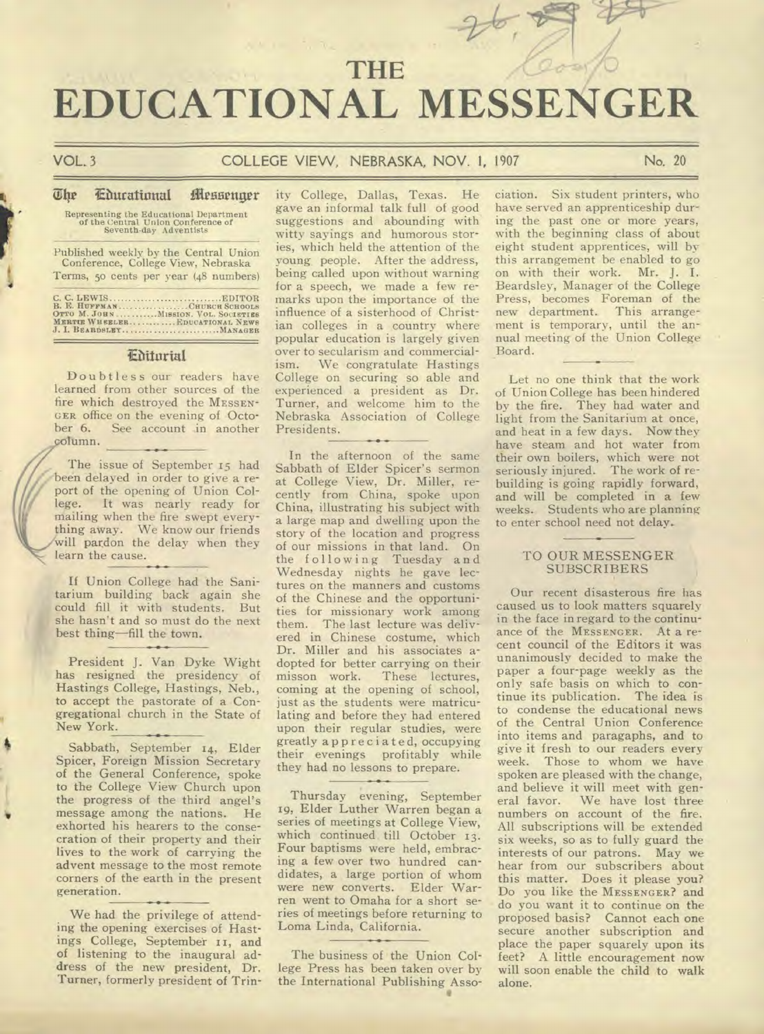# **THE EDUCATIONAL MESSENGER**

**r'** 

4

#### VOL. 3 COLLEGE VIEW. NEBRASKA, NOV. 1, 1907 No. 20

#### **The Educational Messenger**

Representing the Educational Department<br>of the Central Union Conference of<br>Seventh-day Adventists

Published weekly by the Central Union Conference, College View, Nebraska Terms, 5o cents per year (48 numbers)

C. C. LEWIS EDITOR B. E. **HUFFMAN CHURCH SCHOOLS OTTO M. JOHN MISSION. VOL. SOCIETIES MERTIE WHEELER ............EDUCATIONAL NEWS**  J. **I. BEARDSLEY MANAGER** 

#### **IF/Atm-id**

Doubtless our readers have learned from other sources of the fire which destroyed the MESSEN-GER office on the evening of Octo-<br>ber 6. See account in another<br>column. ber 6. See account in another column.

> The issue of September 15 had been delayed in order to give a report of the opening of Union College. It was nearly ready for mailing when the fire swept everything away. We know our friends will pardon the delay when they learn the cause.

> If Union College had the Sanitarium building back again she could fill it with students. But she hasn't and so must do the next best thing—fill the town.

> President J. Van Dyke Wight has resigned the presidency of Hastings College, Hastings, Neb., to accept the pastorate of a Congregational church in the State of New York.

> Sabbath, September 14, Elder Spicer, Foreign Mission Secretary of the General Conference, spoke to the College View Church upon the progress of the third angel's message among the nations. He exhorted his hearers to the consecration of their property and their lives to the work of carrying the advent message to the most remote corners of the earth in the present generation.

> We had the privilege of attending the opening exercises of Hastings College, September 11, and of listening to the inaugural address of the new president, Dr. Turner, formerly president of Trin

ity College, Dallas, Texas. He gave an informal talk full of good suggestions and abounding with witty sayings and humorous stories, which held the attention of the young people. After the address, being called upon without warning for a speech, we made a few remarks upon the importance of the influence of a sisterhood of Christian colleges in a country where popular education is largely given over to secularism and commercialism. We congratulate Hastings College on securing so able and experienced a president as Dr. Turner, and welcome him to the Nebraska Association of College Presidents.

In the afternoon of the same Sabbath of Elder Spicer's sermon at College View, Dr. Miller, recently from China, spoke upon China, illustrating his subject with a large map and dwelling upon the story of the location and progress of our missions in that land. On the following Tuesday and Wednesday nights he gave lectures on the manners and customs of the Chinese and the opportunities for missionary work among them. The last lecture was delivered in Chinese costume, which Dr. Miller and his associates adopted for better carrying on their<br>misson work. These lectures, These lectures, coming at the opening of school, just as the students were matriculating and before they had entered upon their regular studies, were greatly appreciated, occupying their evenings profitably while they had no lessons to prepare.

Thursday evening, September 19, Elder Luther Warren began a series of meetings at College View, which continued till October 13. Four baptisms were held, embracing a few over two hundred candidates, a large portion of whom were new converts. Elder Warren went to Omaha for a short series of meetings before returning to Loma Linda, California.

The business of the Union College Press has been taken over by the International Publishing Asso- • ciation. Six student printers, who have served an apprenticeship during the past one or more years, with the beginning class of about eight student apprentices, will by this arrangement be enabled to go on with their work. Mr. J. I. Beardsley, Manager of the College Press, becomes Foreman of the new department. This arrangement is temporary, until the annual meeting of the Union College Board.

Let no one think that the work of Union College has been hindered by the fire. They had water and light from the Sanitarium at once, and heat in a few days. Now they have steam and hot water from their own boilers, which were not seriously injured. The work of rebuilding is going rapidly forward, and will be completed in a few weeks. Students who are planning to enter school need not delay.

#### TO OUR MESSENGER **SUBSCRIBERS**

Our recent disasterous fire has caused us to look matters squarely in the face in regard to the continuance of the MESSENGER. At a recent council of the Editors it was unanimously decided to make the paper a four-page weekly as the only safe basis on which to continue its publication. The idea is to condense the educational news of the Central Union Conference into items and paragaphs, and to give it fresh to our readers every week. Those to whom we have spoken are pleased with the change, and believe it will meet with gen-<br>eral favor. We have lost three We have lost three numbers on account of the fire. All subscriptions will be extended six weeks, so as to fully guard the interests of our patrons. May we hear from our subscribers about this matter. Does it please you? Do you like the MESSENGER? and do you want it to continue on the proposed basis? Cannot each one secure another subscription and place the paper squarely upon its feet? A little encouragement now will soon enable the child to walk alone.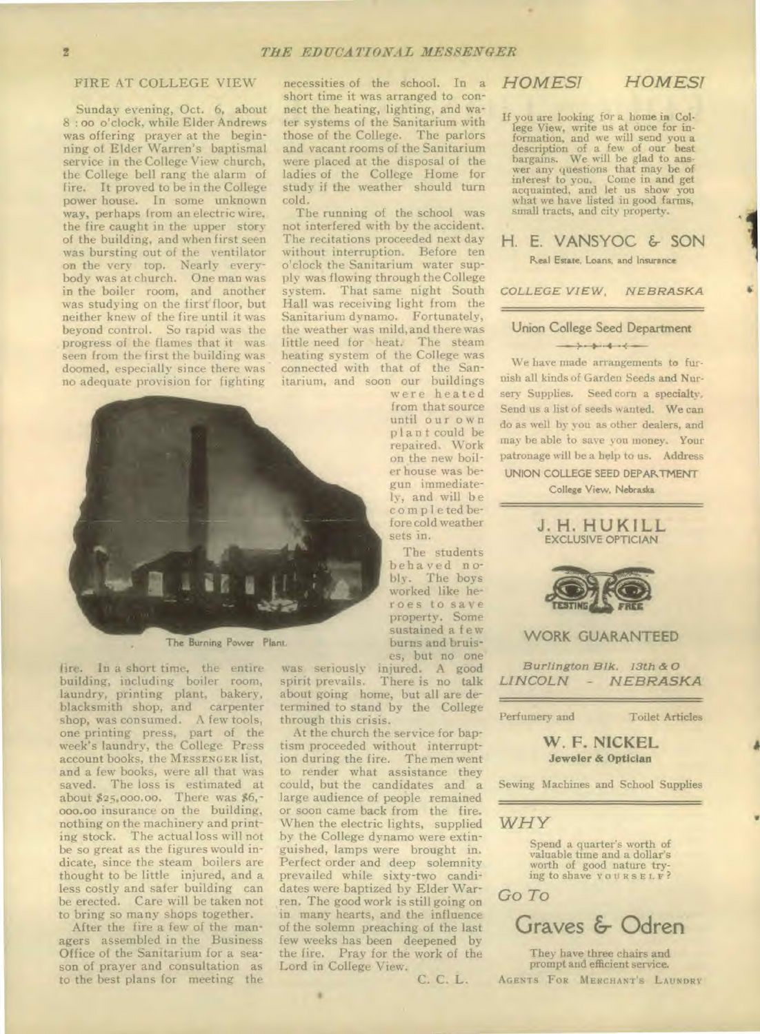#### FIRE AT COLLEGE VIEW

Sunday evening, Oct. 6, about **8: 00** o'clock, while Elder Andrews was offering prayer at the beginning of Elder Warren's baptismal service in the College View church, the College bell rang the alarm of fire. It proved to be in the College power house. In some unknown way, perhaps from an electric wire, the fire caught in the upper story of the building, and when first seen was bursting out of the ventilator on the very top. Nearly everybody was at church. One man was in the boiler room, and another was studying on the first floor, but neither knew of the fire until it was beyond control. So rapid was the progress of the flames that it was seen from the first the building was doomed, especially since there was no adequate provision for fighting



The Burning Power Plant

fire. In a short time, the entire building, including boiler room, laundry, printing plant, bakery, blacksmith shop, and carpenter shop, was consumed. A few tools, one printing press, part of the week's laundry, the College Press account books, the MESSENGER list, and a few books, were all that was saved. The loss is estimated at about \$25,000.00. There was \$6,-000.00 insurance on the building, nothing on the machinery and printing stock. The actual loss will not be so great as the figures would indicate, since the steam boilers are thought to be little injured, and a less costly and safer building can be erected. Care will be taken not to bring so many shops together.

After the fire a few of the managers assembled in the Business Office of the Sanitarium for a season of prayer and consultation as to the best plans for meeting the

necessities of the school. In a short time it was arranged to connect the heating, lighting, and water systems of the Sanitarium with those of the College. The parlors and vacant rooms of the Sanitarium were placed at the disposal of the ladies of the College Home for study if the weather should turn cold.

The running of the school was not interfered with by the accident. The recitations proceeded next day without interruption. Before ten o'clock the Sanitarium water supply was flowing through the College system. That same night South Hall was receiving light from the Sanitarium dynamo. Fortunately, the weather was mild,and there was little need for heat. The steam heating system of the College was connected with that of the Sanitarium, and soon our buildings

were heated from that source until our o wn plant could be repaired. Work on the new boiler house was begun immediately, and will be co mp 1 e ted before cold weather sets in.

The students behaved nobly. The boys worked like heroes to save property. Some sustained a few burns and bruises, but no one

C. C. L.

was seriously injured. A good spirit prevails. There is no talk about going home, but all are determined to stand by the College through this crisis.

At the church the service for baptism proceeded without interruption during the fire. The men went to render what assistance they could, but the candidates and a large audience of people remained or soon came back from the fire. When the electric lights, supplied by the College dynamo were extinguished, lamps were brought in. Perfect order and deep solemnity prevailed while sixty-two candidates were baptized by Elder Warren. The good work is still going on in many hearts, and the influence of the solemn preaching of the last few weeks has been deepened by the fire. Pray for the work of the Lord in College View.

*HOMEST HOMEST* 

If you are looking for a home in College View, write us at once for **in-formation,** and we will send you a description of a few of our best bargains. We will be glad to ans-wer any questions that may be of interest to you. Come in and get acquainted, and let us show you what we have listed in good farms, small tracts, and city property.

### H. E. VANSYOC & SON Real Estate, Loans, and Insurance

*COLLEGE VIEW, NEBRASKA* 

#### Union College Seed Department  $+3-3-4-4-4$

#### We have made arrangements to furnish all kinds of Garden Seeds and Nursery Supplies. Seed corn a specialty. Send us a list of seeds wanted. We can do as well by you as other dealers, and may be able to save you money. Your patronage will he a help to us. Address UNION COLLEGE SEED DEPARTMENT

College View, Nebraska



*Burlington Blk. 13th & 0 LINCOLN - NEBRASKA* 

W. F. NICKEL **Jeweler & Optician** 

Sewing Machines and School Supplies

#### *WHY*

Spend a quarter's worth of valuable time and a dollar's worth of good nature try-ing to shave YOURSELF?

*Go* To



They have three chairs and prompt and efficient service. AGENTS FOR MERCHANT'S LAUNDRY

Perfumery and Toilet Articles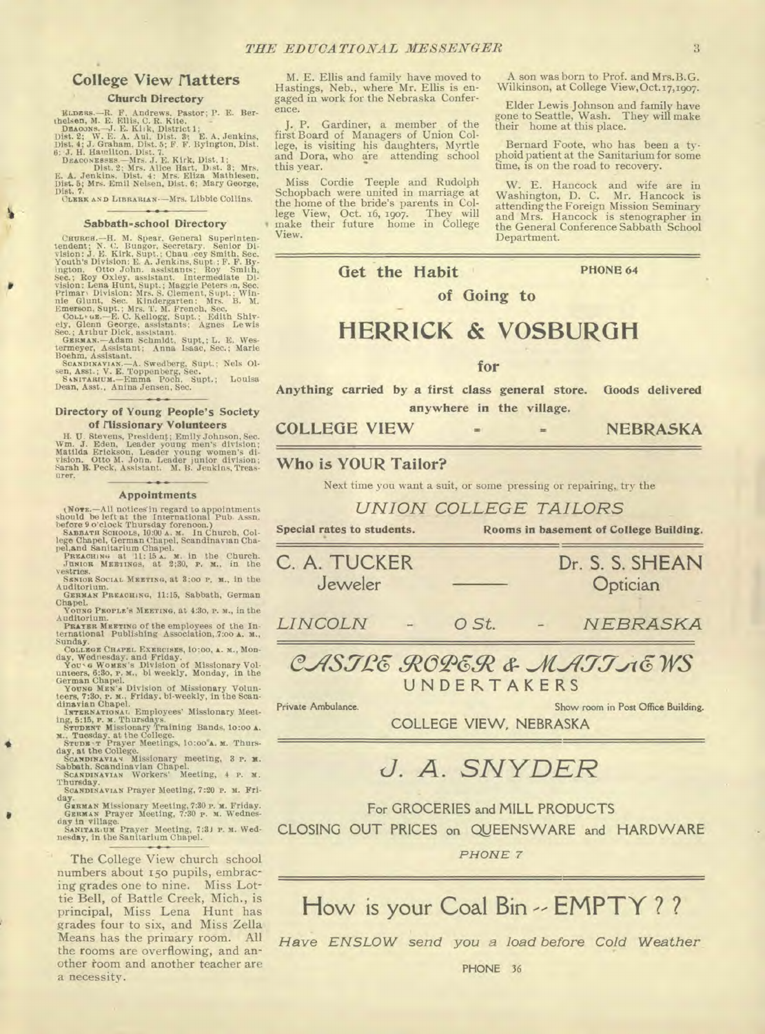### **College View flatters**

#### **Church Directory**

ELDERS. – R. F. Andrews, Pastor; P. E. Berthelsen, M. E. Ellis, C. R. Kite.<br>
1920. – J. E. Kite, District 1;<br>
DEACONS. – J. E. Kitk, District 1;<br>
Dist. 2; W. E. A. Aul, Dist. 3; E. A. Jenkins,<br>
19ist. 4; J. Graham, Dist.

**CLIME AND LIBRARIAN •—Mrs.** Libbie Collins.

#### **Sabbath-school Directory**

Caunces.--H. M. Spear, General Superinten-<br>tendent; N. C. Bungor, Secretary, Senior Disclines: V. S. K. Ring, Stylet, Chau eey Smith, Sec.<br>Youth's Division: E. A. Jenkins, Supt.; F. F. B. Wester, Ington. Otto John. assista

1

#### **Directory of Young People's Society of flissionary Volunteers**

H. U. Stevens, Presidenț; Emily Johnson, Sec. Wm. J. Eden, Leader young men's division; Matilda Erickson, Leader young women's division; Vision. Otto M. John, Leader junior division; Sarah E. Peck, Assistant. M. B. Jenkins urer.

#### **Appointments**

(Normal be left at the International Pub. Assn.<br>should be left at the International Pub. Assn.<br>before 9 o'clock Thursday forenoon.)<br>Samara Sonoons, 10:00 A. M. In Church, Col-<br>lege Chapel, German Chapel, Scandinavian Chap

vestries. **SENIOR SOCIAL MEETING,** at **3:00 P. B.,** in the

Auditorium. **GERMAN PREACHING,** 11:15, Sabbath, German

Chapel. Young PROPLE'S MEETING, at 4:30, P. M., in the

YOUNG PROPLE'S MEETING, at 4:30, P. M., in the<br>Auditorium.<br>PRATER MEETING of the employees of the In-<br>ternational Publishing Association, 7:00 A. M.,<br>Sunday, Wednesday. and Friday.<br>Workers Chapse Carent Four Counter, 6:30,

INTERNATIONAL Employees' Missionary Meeting, 5:15, P. M. Thursdays.<br>
Ing, 5:15, P. M. Thursdays, at the College.<br>
M., Tuesday, at the College.<br>
M., Tuesday, at the College.<br>
M., Tuesday, at the College.<br>
Scandinaviav Missi

GERMAN Missionary Meeting, 7:30 **P. M. Friday.**<br>GERMAN Prayer Meeting, 7:30 **P. M. Wednes-SANITARIUM**<br>SANITARIUM Prayer Meeting, 7:31 **P. M. Wednesday, in the Sanitarium** Chapel.

The College View church school numbers about 15o pupils, embracing grades one to nine. Miss Lottie Bell, of Battle Creek, Mich., is principal, Miss Lena Hunt has grades four to six, and Miss Zella Means has the primary room. All the rooms are overflowing, and another toom and another teacher are a necessity.

M. E. Ellis and family have moved to Hastings, Neb., where Mr. Ellis is engaged in work for the Nebraska Conference.

Gardiner, a member of the first Board of Managers of Union College, is visiting his daughters, Myrtle and Dora, who are attending school this year.

Miss Cordie Teeple and Rudolph Schopbach were united in marriage at the home of the bride's parents in College View, Oct. 16, 1go7. They will make their future home in College View.

A son was born to Prof. and Mrs.B.G. Wilkinson, at College View,Oct.17,19o7.

Elder Lewis Johnson and family have gone to Seattle, Wash. They will make their home at this place.

Bernard Foote, who has been a typhoid patient at the Sanitarium for some time, is on the road to recovery.

W. E. Hancock and wife are in Washington, D. C. Mr. Hancock is attending the Foreign Mission Seminary and Mrs. Hancock is stenographer in the General Conference Sabbath School Department.

Get the Habit **PHONE 64** 

**HERRICK & VOSBURGIi** 

**of Going to** 

**for** 

**Anything carried by a first class general store. Goods delivered anywhere in the village.** 

**COLLEGE VIEW = = NEBRASKA** 

**Who is YOUR Tailor?** 

Next time you want a suit, or some pressing or repairing,, try the

*UNION COLLEGE TAILORS* 

**Special rates to students. Rooms in basement of College Building.** 

| C. A. TUCKER<br>Jeweler |  | Dr. S. S. SHEAN<br>Optician |        |                                |
|-------------------------|--|-----------------------------|--------|--------------------------------|
| <b>LINCOLN</b>          |  | $O$ St.                     | $\sim$ | NEBRASKA                       |
|                         |  |                             |        | $O$ ASTPE ROPER & MATT $A$ EWS |



Private Ambulance. Show **room** in **Post Office Building.** 

**COLLEGE VIEW, NEBRASKA** 

### *J. A. SNYDER*

For GROCERIES and MILL PRODUCTS

CLOSING OUT PRICES on QVEENSWARE and HARDWARE

*PHONE 7* 

How is your Coal Bin -- EMPTY ? ?

*Have ENSLOW send you a load before Cold Weather*